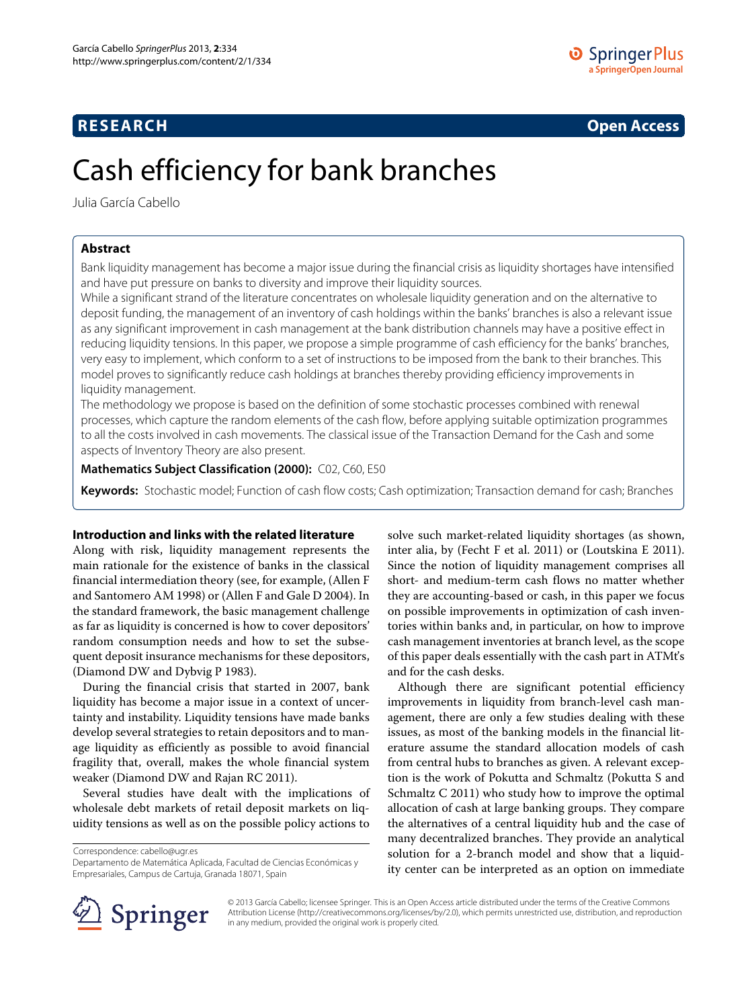# **RESEARCH Open Access**

# Cash efficiency for bank branches

Julia García Cabello

# **Abstract**

Bank liquidity management has become a major issue during the financial crisis as liquidity shortages have intensified and have put pressure on banks to diversity and improve their liquidity sources.

While a significant strand of the literature concentrates on wholesale liquidity generation and on the alternative to deposit funding, the management of an inventory of cash holdings within the banks' branches is also a relevant issue as any significant improvement in cash management at the bank distribution channels may have a positive effect in reducing liquidity tensions. In this paper, we propose a simple programme of cash efficiency for the banks' branches, very easy to implement, which conform to a set of instructions to be imposed from the bank to their branches. This model proves to significantly reduce cash holdings at branches thereby providing efficiency improvements in liquidity management.

The methodology we propose is based on the definition of some stochastic processes combined with renewal processes, which capture the random elements of the cash flow, before applying suitable optimization programmes to all the costs involved in cash movements. The classical issue of the Transaction Demand for the Cash and some aspects of Inventory Theory are also present.

**Mathematics Subject Classification (2000):** C02, C60, E50

**Keywords:** Stochastic model; Function of cash flow costs; Cash optimization; Transaction demand for cash; Branches

# **Introduction and links with the related literature**

Along with risk, liquidity management represents the main rationale for the existence of banks in the classical financial intermediation theory (see, for example, (Allen F and Santomero AM [1998\)](#page-14-0) or (Allen F and Gale D [2004\)](#page-14-1). In the standard framework, the basic management challenge as far as liquidity is concerned is how to cover depositors' random consumption needs and how to set the subsequent deposit insurance mechanisms for these depositors, (Diamond DW and Dybvig P [1983\)](#page-14-2).

During the financial crisis that started in 2007, bank liquidity has become a major issue in a context of uncertainty and instability. Liquidity tensions have made banks develop several strategies to retain depositors and to manage liquidity as efficiently as possible to avoid financial fragility that, overall, makes the whole financial system weaker (Diamond DW and Rajan RC [2011\)](#page-14-3).

Several studies have dealt with the implications of wholesale debt markets of retail deposit markets on liquidity tensions as well as on the possible policy actions to

Departamento de Matemática Aplicada, Facultad de Ciencias Económicas y Empresariales, Campus de Cartuja, Granada 18071, Spain

solve such market-related liquidity shortages (as shown, inter alia, by (Fecht F et al. [2011\)](#page-14-4) or (Loutskina E [2011\)](#page-14-5). Since the notion of liquidity management comprises all short- and medium-term cash flows no matter whether they are accounting-based or cash, in this paper we focus on possible improvements in optimization of cash inventories within banks and, in particular, on how to improve cash management inventories at branch level, as the scope of this paper deals essentially with the cash part in ATMt's and for the cash desks.

Although there are significant potential efficiency improvements in liquidity from branch-level cash management, there are only a few studies dealing with these issues, as most of the banking models in the financial literature assume the standard allocation models of cash from central hubs to branches as given. A relevant exception is the work of Pokutta and Schmaltz (Pokutta S and Schmaltz C [2011\)](#page-14-6) who study how to improve the optimal allocation of cash at large banking groups. They compare the alternatives of a central liquidity hub and the case of many decentralized branches. They provide an analytical solution for a 2-branch model and show that a liquidity center can be interpreted as an option on immediate



© 2013 García Cabello; licensee Springer. This is an Open Access article distributed under the terms of the Creative Commons Attribution License (http://creativecommons.org/licenses/by/2.0), which permits unrestricted use, distribution, and reproduction in any medium, provided the original work is properly cited.

Correspondence: cabello@ugr.es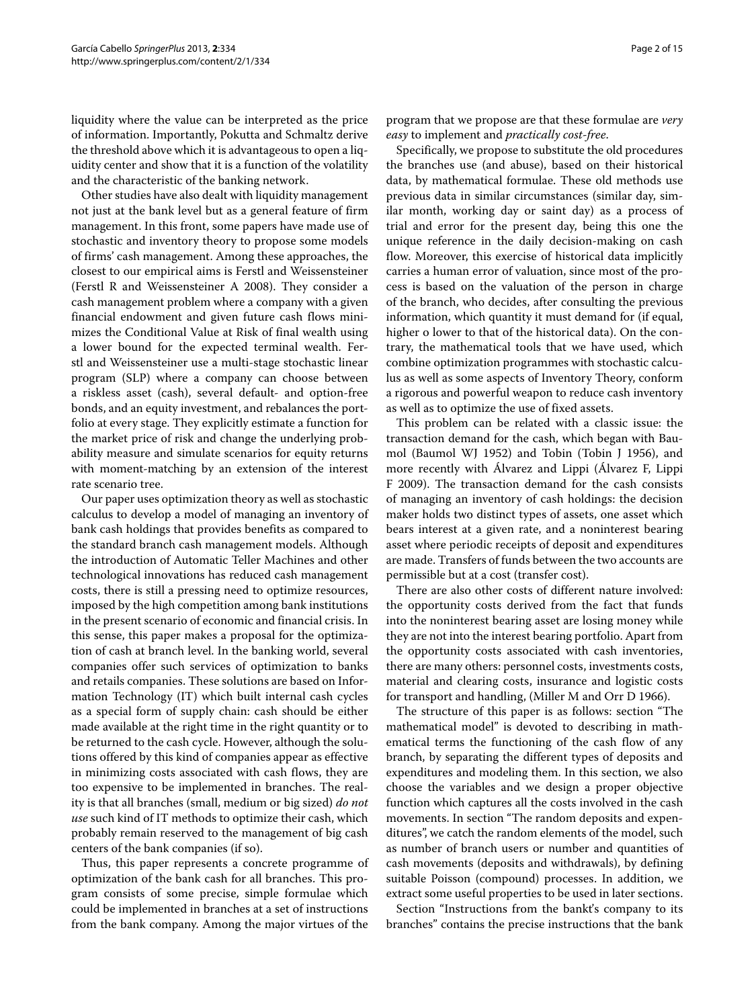liquidity where the value can be interpreted as the price of information. Importantly, Pokutta and Schmaltz derive the threshold above which it is advantageous to open a liquidity center and show that it is a function of the volatility and the characteristic of the banking network.

Other studies have also dealt with liquidity management not just at the bank level but as a general feature of firm management. In this front, some papers have made use of stochastic and inventory theory to propose some models of firms' cash management. Among these approaches, the closest to our empirical aims is Ferstl and Weissensteiner (Ferstl R and Weissensteiner A [2008\)](#page-14-7). They consider a cash management problem where a company with a given financial endowment and given future cash flows minimizes the Conditional Value at Risk of final wealth using a lower bound for the expected terminal wealth. Ferstl and Weissensteiner use a multi-stage stochastic linear program (SLP) where a company can choose between a riskless asset (cash), several default- and option-free bonds, and an equity investment, and rebalances the portfolio at every stage. They explicitly estimate a function for the market price of risk and change the underlying probability measure and simulate scenarios for equity returns with moment-matching by an extension of the interest rate scenario tree.

Our paper uses optimization theory as well as stochastic calculus to develop a model of managing an inventory of bank cash holdings that provides benefits as compared to the standard branch cash management models. Although the introduction of Automatic Teller Machines and other technological innovations has reduced cash management costs, there is still a pressing need to optimize resources, imposed by the high competition among bank institutions in the present scenario of economic and financial crisis. In this sense, this paper makes a proposal for the optimization of cash at branch level. In the banking world, several companies offer such services of optimization to banks and retails companies. These solutions are based on Information Technology (IT) which built internal cash cycles as a special form of supply chain: cash should be either made available at the right time in the right quantity or to be returned to the cash cycle. However, although the solutions offered by this kind of companies appear as effective in minimizing costs associated with cash flows, they are too expensive to be implemented in branches. The reality is that all branches (small, medium or big sized) *do not use* such kind of IT methods to optimize their cash, which probably remain reserved to the management of big cash centers of the bank companies (if so).

Thus, this paper represents a concrete programme of optimization of the bank cash for all branches. This program consists of some precise, simple formulae which could be implemented in branches at a set of instructions from the bank company. Among the major virtues of the

program that we propose are that these formulae are *very easy* to implement and *practically cost-free*.

Specifically, we propose to substitute the old procedures the branches use (and abuse), based on their historical data, by mathematical formulae. These old methods use previous data in similar circumstances (similar day, similar month, working day or saint day) as a process of trial and error for the present day, being this one the unique reference in the daily decision-making on cash flow. Moreover, this exercise of historical data implicitly carries a human error of valuation, since most of the process is based on the valuation of the person in charge of the branch, who decides, after consulting the previous information, which quantity it must demand for (if equal, higher o lower to that of the historical data). On the contrary, the mathematical tools that we have used, which combine optimization programmes with stochastic calculus as well as some aspects of Inventory Theory, conform a rigorous and powerful weapon to reduce cash inventory as well as to optimize the use of fixed assets.

This problem can be related with a classic issue: the transaction demand for the cash, which began with Baumol (Baumol WJ [1952\)](#page-14-8) and Tobin (Tobin J [1956\)](#page-14-9), and more recently with Álvarez and Lippi (Álvarez F, Lippi F [2009\)](#page-14-10). The transaction demand for the cash consists of managing an inventory of cash holdings: the decision maker holds two distinct types of assets, one asset which bears interest at a given rate, and a noninterest bearing asset where periodic receipts of deposit and expenditures are made. Transfers of funds between the two accounts are permissible but at a cost (transfer cost).

There are also other costs of different nature involved: the opportunity costs derived from the fact that funds into the noninterest bearing asset are losing money while they are not into the interest bearing portfolio. Apart from the opportunity costs associated with cash inventories, there are many others: personnel costs, investments costs, material and clearing costs, insurance and logistic costs for transport and handling, (Miller M and Orr D [1966\)](#page-14-11).

The structure of this paper is as follows: section ["The](#page-2-0) [mathematical model"](#page-2-0) is devoted to describing in mathematical terms the functioning of the cash flow of any branch, by separating the different types of deposits and expenditures and modeling them. In this section, we also choose the variables and we design a proper objective function which captures all the costs involved in the cash movements. In section ["The random deposits and expen](#page-5-0)[ditures"](#page-5-0), we catch the random elements of the model, such as number of branch users or number and quantities of cash movements (deposits and withdrawals), by defining suitable Poisson (compound) processes. In addition, we extract some useful properties to be used in later sections.

Section ["Instructions from the bankt's company to its](#page-7-0) [branches"](#page-7-0) contains the precise instructions that the bank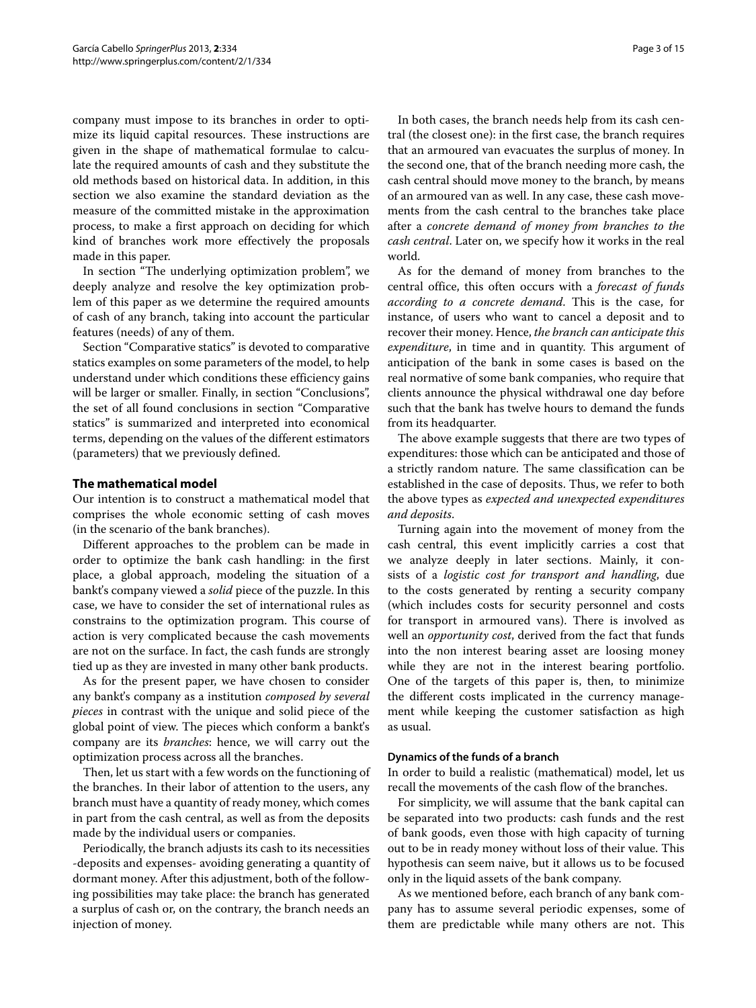company must impose to its branches in order to optimize its liquid capital resources. These instructions are given in the shape of mathematical formulae to calculate the required amounts of cash and they substitute the old methods based on historical data. In addition, in this section we also examine the standard deviation as the measure of the committed mistake in the approximation process, to make a first approach on deciding for which kind of branches work more effectively the proposals made in this paper.

In section ["The underlying optimization problem"](#page-8-0), we deeply analyze and resolve the key optimization problem of this paper as we determine the required amounts of cash of any branch, taking into account the particular features (needs) of any of them.

Section ["Comparative statics"](#page-10-0) is devoted to comparative statics examples on some parameters of the model, to help understand under which conditions these efficiency gains will be larger or smaller. Finally, in section ["Conclusions"](#page-13-0), the set of all found conclusions in section ["Comparative](#page-10-1) [statics"](#page-10-1) is summarized and interpreted into economical terms, depending on the values of the different estimators (parameters) that we previously defined.

## <span id="page-2-1"></span>**The mathematical model**

<span id="page-2-0"></span>Our intention is to construct a mathematical model that comprises the whole economic setting of cash moves (in the scenario of the bank branches).

Different approaches to the problem can be made in order to optimize the bank cash handling: in the first place, a global approach, modeling the situation of a bankt's company viewed a *solid* piece of the puzzle. In this case, we have to consider the set of international rules as constrains to the optimization program. This course of action is very complicated because the cash movements are not on the surface. In fact, the cash funds are strongly tied up as they are invested in many other bank products.

As for the present paper, we have chosen to consider any bankt's company as a institution *composed by several pieces* in contrast with the unique and solid piece of the global point of view. The pieces which conform a bankt's company are its *branches*: hence, we will carry out the optimization process across all the branches.

Then, let us start with a few words on the functioning of the branches. In their labor of attention to the users, any branch must have a quantity of ready money, which comes in part from the cash central, as well as from the deposits made by the individual users or companies.

Periodically, the branch adjusts its cash to its necessities -deposits and expenses- avoiding generating a quantity of dormant money. After this adjustment, both of the following possibilities may take place: the branch has generated a surplus of cash or, on the contrary, the branch needs an injection of money.

In both cases, the branch needs help from its cash central (the closest one): in the first case, the branch requires that an armoured van evacuates the surplus of money. In the second one, that of the branch needing more cash, the cash central should move money to the branch, by means of an armoured van as well. In any case, these cash movements from the cash central to the branches take place after a *concrete demand of money from branches to the cash central*. Later on, we specify how it works in the real world.

As for the demand of money from branches to the central office, this often occurs with a *forecast of funds according to a concrete demand*. This is the case, for instance, of users who want to cancel a deposit and to recover their money. Hence, *the branch can anticipate this expenditure*, in time and in quantity. This argument of anticipation of the bank in some cases is based on the real normative of some bank companies, who require that clients announce the physical withdrawal one day before such that the bank has twelve hours to demand the funds from its headquarter.

The above example suggests that there are two types of expenditures: those which can be anticipated and those of a strictly random nature. The same classification can be established in the case of deposits. Thus, we refer to both the above types as *expected and unexpected expenditures and deposits*.

Turning again into the movement of money from the cash central, this event implicitly carries a cost that we analyze deeply in later sections. Mainly, it consists of a *logistic cost for transport and handling*, due to the costs generated by renting a security company (which includes costs for security personnel and costs for transport in armoured vans). There is involved as well an *opportunity cost*, derived from the fact that funds into the non interest bearing asset are loosing money while they are not in the interest bearing portfolio. One of the targets of this paper is, then, to minimize the different costs implicated in the currency management while keeping the customer satisfaction as high as usual.

## **Dynamics of the funds of a branch**

In order to build a realistic (mathematical) model, let us recall the movements of the cash flow of the branches.

For simplicity, we will assume that the bank capital can be separated into two products: cash funds and the rest of bank goods, even those with high capacity of turning out to be in ready money without loss of their value. This hypothesis can seem naive, but it allows us to be focused only in the liquid assets of the bank company.

As we mentioned before, each branch of any bank company has to assume several periodic expenses, some of them are predictable while many others are not. This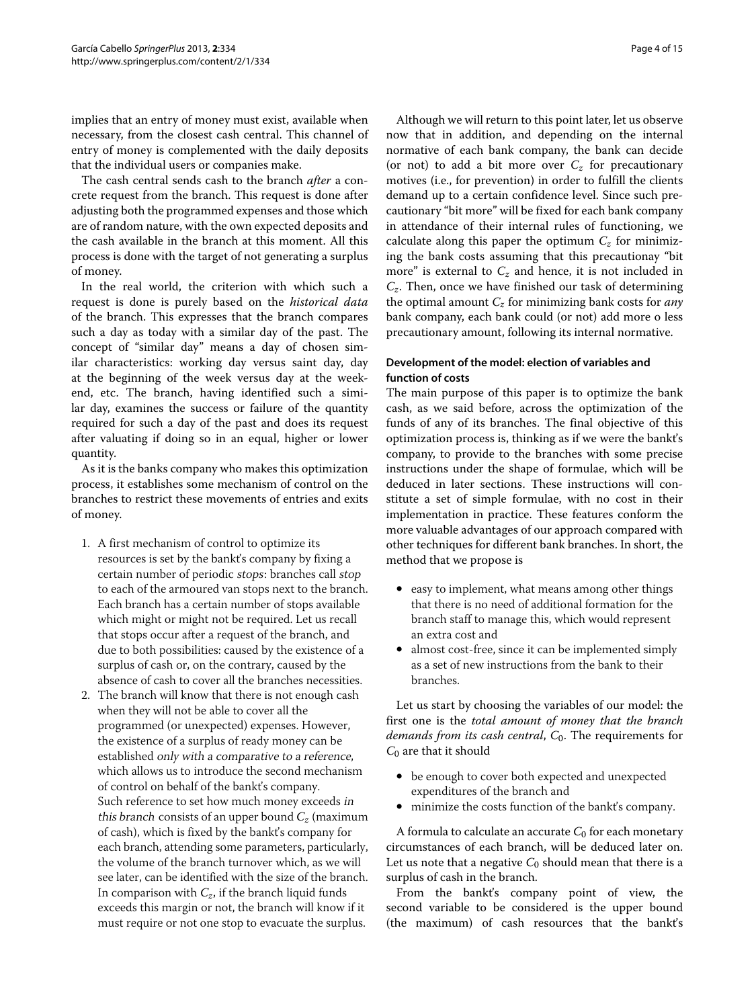implies that an entry of money must exist, available when necessary, from the closest cash central. This channel of entry of money is complemented with the daily deposits that the individual users or companies make.

The cash central sends cash to the branch *after* a concrete request from the branch. This request is done after adjusting both the programmed expenses and those which are of random nature, with the own expected deposits and the cash available in the branch at this moment. All this process is done with the target of not generating a surplus of money.

In the real world, the criterion with which such a request is done is purely based on the *historical data* of the branch. This expresses that the branch compares such a day as today with a similar day of the past. The concept of "similar day" means a day of chosen similar characteristics: working day versus saint day, day at the beginning of the week versus day at the weekend, etc. The branch, having identified such a similar day, examines the success or failure of the quantity required for such a day of the past and does its request after valuating if doing so in an equal, higher or lower quantity.

As it is the banks company who makes this optimization process, it establishes some mechanism of control on the branches to restrict these movements of entries and exits of money.

- 1. A first mechanism of control to optimize its resources is set by the bankt's company by fixing a certain number of periodic stops: branches call stop to each of the armoured van stops next to the branch. Each branch has a certain number of stops available which might or might not be required. Let us recall that stops occur after a request of the branch, and due to both possibilities: caused by the existence of a surplus of cash or, on the contrary, caused by the absence of cash to cover all the branches necessities.
- 2. The branch will know that there is not enough cash when they will not be able to cover all the programmed (or unexpected) expenses. However, the existence of a surplus of ready money can be established only with <sup>a</sup> comparative to <sup>a</sup> reference, which allows us to introduce the second mechanism of control on behalf of the bankt's company. Such reference to set how much money exceeds in this branch consists of an upper bound  $C_z$  (maximum of cash), which is fixed by the bankt's company for each branch, attending some parameters, particularly, the volume of the branch turnover which, as we will see later, can be identified with the size of the branch. In comparison with  $C_z$ , if the branch liquid funds exceeds this margin or not, the branch will know if it must require or not one stop to evacuate the surplus.

Although we will return to this point later, let us observe now that in addition, and depending on the internal normative of each bank company, the bank can decide (or not) to add a bit more over  $C_z$  for precautionary motives (i.e., for prevention) in order to fulfill the clients demand up to a certain confidence level. Since such precautionary "bit more" will be fixed for each bank company in attendance of their internal rules of functioning, we calculate along this paper the optimum  $C_z$  for minimizing the bank costs assuming that this precautionay "bit more" is external to  $C_z$  and hence, it is not included in *Cz*. Then, once we have finished our task of determining the optimal amount *Cz* for minimizing bank costs for *any* bank company, each bank could (or not) add more o less precautionary amount, following its internal normative.

## **Development of the model: election of variables and function of costs**

The main purpose of this paper is to optimize the bank cash, as we said before, across the optimization of the funds of any of its branches. The final objective of this optimization process is, thinking as if we were the bankt's company, to provide to the branches with some precise instructions under the shape of formulae, which will be deduced in later sections. These instructions will constitute a set of simple formulae, with no cost in their implementation in practice. These features conform the more valuable advantages of our approach compared with other techniques for different bank branches. In short, the method that we propose is

- easy to implement, what means among other things that there is no need of additional formation for the branch staff to manage this, which would represent an extra cost and
- almost cost-free, since it can be implemented simply as a set of new instructions from the bank to their branches.

Let us start by choosing the variables of our model: the first one is the *total amount of money that the branch demands from its cash central*,  $C_0$ . The requirements for *C*<sup>0</sup> are that it should

- be enough to cover both expected and unexpected expenditures of the branch and
- minimize the costs function of the bankt's company.

A formula to calculate an accurate  $C_0$  for each monetary circumstances of each branch, will be deduced later on. Let us note that a negative  $C_0$  should mean that there is a surplus of cash in the branch.

From the bankt's company point of view, the second variable to be considered is the upper bound (the maximum) of cash resources that the bankt's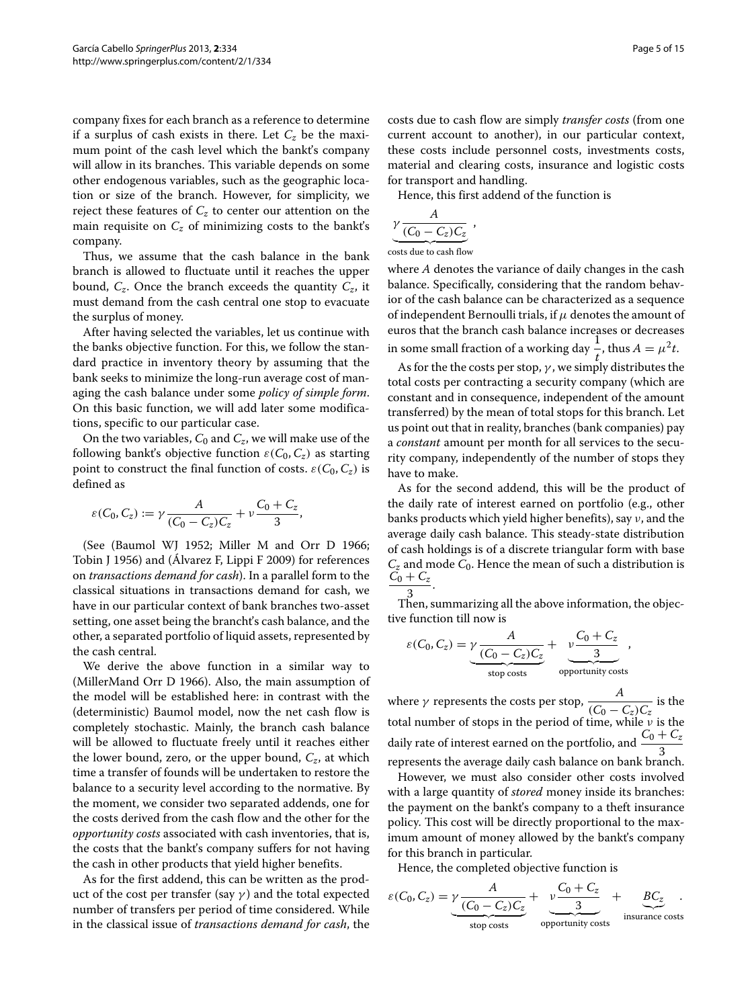company fixes for each branch as a reference to determine if a surplus of cash exists in there. Let  $C_z$  be the maximum point of the cash level which the bankt's company will allow in its branches. This variable depends on some other endogenous variables, such as the geographic location or size of the branch. However, for simplicity, we reject these features of  $C<sub>z</sub>$  to center our attention on the main requisite on  $C_z$  of minimizing costs to the bankt's company.

Thus, we assume that the cash balance in the bank branch is allowed to fluctuate until it reaches the upper bound,  $C_z$ . Once the branch exceeds the quantity  $C_z$ , it must demand from the cash central one stop to evacuate the surplus of money.

After having selected the variables, let us continue with the banks objective function. For this, we follow the standard practice in inventory theory by assuming that the bank seeks to minimize the long-run average cost of managing the cash balance under some *policy of simple form*. On this basic function, we will add later some modifications, specific to our particular case.

On the two variables,  $C_0$  and  $C_z$ , we will make use of the following bankt's objective function  $\varepsilon$ ( $C_0$ , $C_z$ ) as starting point to construct the final function of costs.  $\varepsilon$ ( $C_0$ ,  $C_z$ ) is defined as

$$
\varepsilon(C_0, C_z) := \gamma \frac{A}{(C_0 - C_z)C_z} + \nu \frac{C_0 + C_z}{3},
$$

(See (Baumol WJ [1952;](#page-14-8) Miller M and Orr D [1966;](#page-14-11) Tobin J [1956\)](#page-14-9) and (Álvarez F, Lippi F [2009\)](#page-14-10) for references on *transactions demand for cash*). In a parallel form to the classical situations in transactions demand for cash, we have in our particular context of bank branches two-asset setting, one asset being the brancht's cash balance, and the other, a separated portfolio of liquid assets, represented by the cash central.

We derive the above function in a similar way to (MillerMand Orr D [1966\)](#page-14-11). Also, the main assumption of the model will be established here: in contrast with the (deterministic) Baumol model, now the net cash flow is completely stochastic. Mainly, the branch cash balance will be allowed to fluctuate freely until it reaches either the lower bound, zero, or the upper bound, *Cz*, at which time a transfer of founds will be undertaken to restore the balance to a security level according to the normative. By the moment, we consider two separated addends, one for the costs derived from the cash flow and the other for the *opportunity costs* associated with cash inventories, that is, the costs that the bankt's company suffers for not having the cash in other products that yield higher benefits.

As for the first addend, this can be written as the product of the cost per transfer (say  $\gamma$ ) and the total expected number of transfers per period of time considered. While in the classical issue of *transactions demand for cash*, the costs due to cash flow are simply *transfer costs* (from one current account to another), in our particular context, these costs include personnel costs, investments costs, material and clearing costs, insurance and logistic costs for transport and handling.

Hence, this first addend of the function is

$$
\frac{\gamma \frac{A}{(C_0-C_z)C_z}}{\text{costs due to cash flow}},
$$

where *A* denotes the variance of daily changes in the cash balance. Specifically, considering that the random behavior of the cash balance can be characterized as a sequence of independent Bernoulli trials, if *μ* denotes the amount of euros that the branch cash balance increases or decreases in some small fraction of a working day  $\frac{1}{t}$ , thus  $A = \mu^2 t$ .

As for the the costs per stop,  $\gamma$ , we simply distributes the total costs per contracting a security company (which are constant and in consequence, independent of the amount transferred) by the mean of total stops for this branch. Let us point out that in reality, branches (bank companies) pay a *constant* amount per month for all services to the security company, independently of the number of stops they have to make.

As for the second addend, this will be the product of the daily rate of interest earned on portfolio (e.g., other banks products which yield higher benefits), say *ν*, and the average daily cash balance. This steady-state distribution of cash holdings is of a discrete triangular form with base  $C_z$  and mode  $C_0$ . Hence the mean of such a distribution is  $\frac{C_0 + C_z}{3}$ .

Then, summarizing all the above information, the objective function till now is

$$
\varepsilon(C_0, C_z) = \underbrace{\gamma \frac{A}{(C_0 - C_z)C_z}}_{\text{stop costs}} + \underbrace{\nu \frac{C_0 + C_z}{3}}_{\text{opportunity costs}},
$$

where  $\gamma$  represents the costs per stop,  $\frac{A}{\sqrt{A}}$  $\frac{1}{(C_0 - C_z)C_z}$  is the total number of stops in the period of time, while *ν* is the daily rate of interest earned on the portfolio, and  $\frac{C_0 + C_z}{3}$ represents the average daily cash balance on bank branch.

However, we must also consider other costs involved with a large quantity of *stored* money inside its branches: the payment on the bankt's company to a theft insurance policy. This cost will be directly proportional to the maximum amount of money allowed by the bankt's company for this branch in particular.

Hence, the completed objective function is

$$
\varepsilon(C_0, C_z) = \underbrace{\gamma \frac{A}{(C_0 - C_z)C_z}}_{\text{stop costs}} + \underbrace{\nu \frac{C_0 + C_z}{3}}_{\text{opportunity costs}} + \underbrace{BC_z}_{\text{insurance costs}}.
$$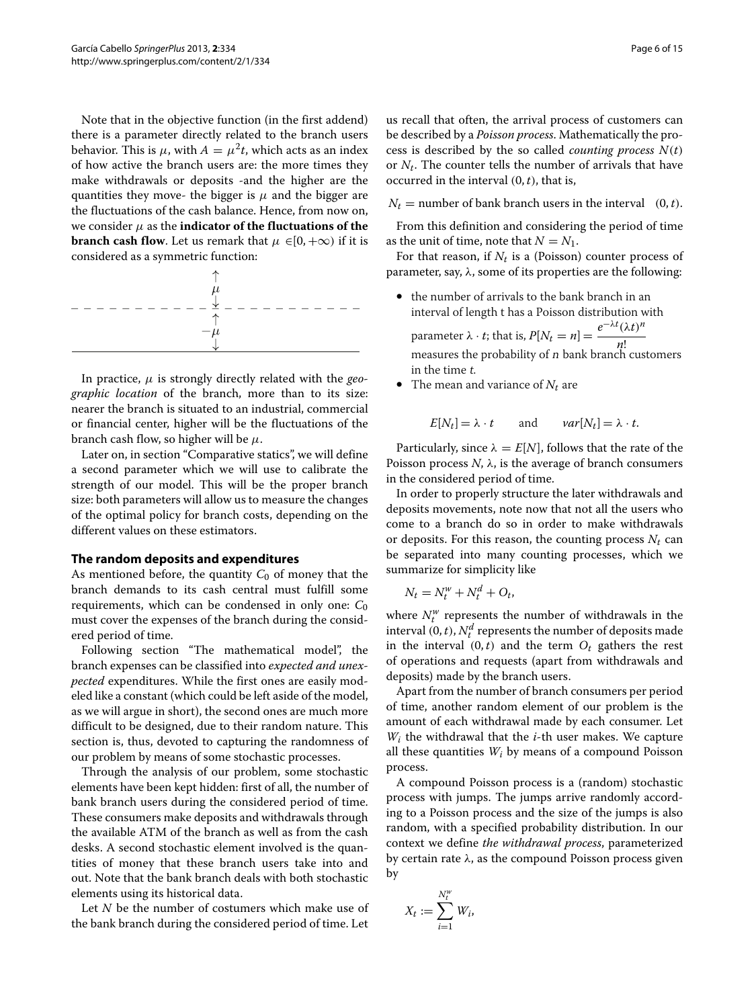Note that in the objective function (in the first addend) there is a parameter directly related to the branch users behavior. This is  $\mu$ , with  $A = \mu^2 t$ , which acts as an index of how active the branch users are: the more times they make withdrawals or deposits -and the higher are the quantities they move- the bigger is  $\mu$  and the bigger are the fluctuations of the cash balance. Hence, from now on, we consider  $\mu$  as the **indicator of the fluctuations of the branch cash flow.** Let us remark that  $\mu \in [0, +\infty)$  if it is considered as a symmetric function:



In practice,  $\mu$  is strongly directly related with the *geographic location* of the branch, more than to its size: nearer the branch is situated to an industrial, commercial or financial center, higher will be the fluctuations of the branch cash flow, so higher will be *μ*.

Later on, in section ["Comparative statics"](#page-10-0), we will define a second parameter which we will use to calibrate the strength of our model. This will be the proper branch size: both parameters will allow us to measure the changes of the optimal policy for branch costs, depending on the different values on these estimators.

#### **The random deposits and expenditures**

<span id="page-5-0"></span>As mentioned before, the quantity  $C_0$  of money that the branch demands to its cash central must fulfill some requirements, which can be condensed in only one: *C*<sup>0</sup> must cover the expenses of the branch during the considered period of time.

Following section ["The mathematical model"](#page-2-1), the branch expenses can be classified into *expected and unexpected* expenditures. While the first ones are easily modeled like a constant (which could be left aside of the model, as we will argue in short), the second ones are much more difficult to be designed, due to their random nature. This section is, thus, devoted to capturing the randomness of our problem by means of some stochastic processes.

Through the analysis of our problem, some stochastic elements have been kept hidden: first of all, the number of bank branch users during the considered period of time. These consumers make deposits and withdrawals through the available ATM of the branch as well as from the cash desks. A second stochastic element involved is the quantities of money that these branch users take into and out. Note that the bank branch deals with both stochastic elements using its historical data.

Let *N* be the number of costumers which make use of the bank branch during the considered period of time. Let us recall that often, the arrival process of customers can be described by a *Poisson process*. Mathematically the process is described by the so called *counting process N(t)* or *Nt*. The counter tells the number of arrivals that have occurred in the interval *(*0, *t)*, that is,

 $N_t$  = number of bank branch users in the interval *(0, t)*.

From this definition and considering the period of time as the unit of time, note that  $N = N_1$ .

For that reason, if  $N_t$  is a (Poisson) counter process of parameter, say, *λ*, some of its properties are the following:

- the number of arrivals to the bank branch in an interval of length t has a Poisson distribution with parameter  $\lambda \cdot t$ ; that is,  $P[N_t = n] = \frac{e^{-\lambda t} (\lambda t)^n}{n!}$ *n*! measures the probability of <sup>n</sup> bank branch customers in the time <sup>t</sup>.
- The mean and variance of  $N_t$  are

$$
E[N_t] = \lambda \cdot t \quad \text{and} \quad var[N_t] = \lambda \cdot t.
$$

Particularly, since  $\lambda = E[N]$ , follows that the rate of the Poisson process  $N$ ,  $\lambda$ , is the average of branch consumers in the considered period of time.

In order to properly structure the later withdrawals and deposits movements, note now that not all the users who come to a branch do so in order to make withdrawals or deposits. For this reason, the counting process  $N_t$  can be separated into many counting processes, which we summarize for simplicity like

$$
N_t = N_t^w + N_t^d + O_t,
$$

where  $N_t^w$  represents the number of withdrawals in the interval  $(0, t)$ ,  $N_t^d$  represents the number of deposits made in the interval  $(0, t)$  and the term  $O_t$  gathers the rest of operations and requests (apart from withdrawals and deposits) made by the branch users.

Apart from the number of branch consumers per period of time, another random element of our problem is the amount of each withdrawal made by each consumer. Let *Wi* the withdrawal that the *i*-th user makes. We capture all these quantities  $W_i$  by means of a compound Poisson process.

A compound Poisson process is a (random) stochastic process with jumps. The jumps arrive randomly according to a Poisson process and the size of the jumps is also random, with a specified probability distribution. In our context we define *the withdrawal process*, parameterized by certain rate *λ*, as the compound Poisson process given by

$$
X_t := \sum_{i=1}^{N_t^w} W_i,
$$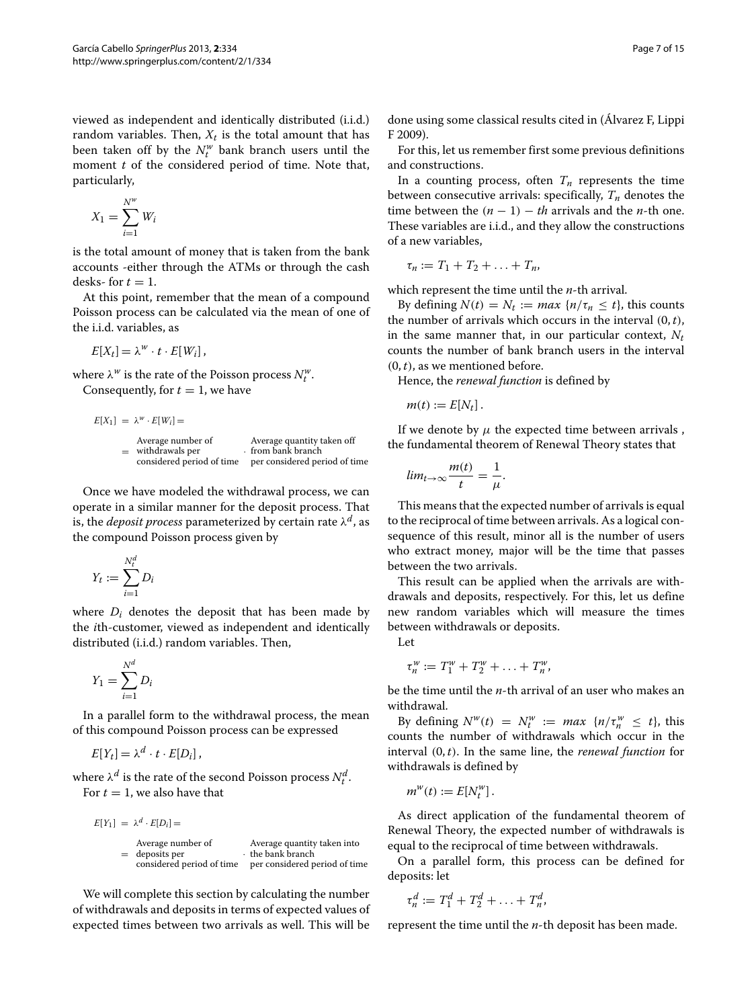viewed as independent and identically distributed (i.i.d.) random variables. Then,  $X_t$  is the total amount that has been taken off by the  $N_t^w$  bank branch users until the moment *t* of the considered period of time. Note that, particularly,

$$
X_1 = \sum_{i=1}^{N^w} W_i
$$

is the total amount of money that is taken from the bank accounts -either through the ATMs or through the cash desks- for  $t = 1$ .

At this point, remember that the mean of a compound Poisson process can be calculated via the mean of one of the i.i.d. variables, as

$$
E[X_t] = \lambda^w \cdot t \cdot E[W_i],
$$

where  $\lambda^w$  is the rate of the Poisson process  $N_t^w$ .

Consequently, for  $t = 1$ , we have

$$
E[X_1] = \lambda^w \cdot E[W_i] =
$$
  
Average number of  
withdrawals per  
considered period of time per considered period of time

Once we have modeled the withdrawal process, we can operate in a similar manner for the deposit process. That is, the *deposit process* parameterized by certain rate *λd*, as the compound Poisson process given by

$$
Y_t := \sum_{i=1}^{N_t^d} D_i
$$

where  $D_i$  denotes the deposit that has been made by the *i*th-customer, viewed as independent and identically distributed (i.i.d.) random variables. Then,

$$
Y_1 = \sum_{i=1}^{N^d} D_i
$$

In a parallel form to the withdrawal process, the mean of this compound Poisson process can be expressed

$$
E[Y_t] = \lambda^d \cdot t \cdot E[D_i],
$$

where  $\lambda^d$  is the rate of the second Poisson process  $N_t^d$ . For  $t = 1$ , we also have that

$$
E[Y_1] = \lambda^d \cdot E[D_i] =
$$
  
Average number of  
= deposits per  
considered period of time per considered period of time

We will complete this section by calculating the number of withdrawals and deposits in terms of expected values of expected times between two arrivals as well. This will be done using some classical results cited in (Álvarez F, Lippi F [2009\)](#page-14-10).

For this, let us remember first some previous definitions and constructions.

In a counting process, often  $T_n$  represents the time between consecutive arrivals: specifically,  $T_n$  denotes the time between the  $(n - 1) - th$  arrivals and the *n*-th one. These variables are i.i.d., and they allow the constructions of a new variables,

$$
\tau_n:=T_1+T_2+\ldots+T_n,
$$

which represent the time until the *n*-th arrival.

By defining  $N(t) = N_t := max \{ n / \tau_n \le t \}$ , this counts the number of arrivals which occurs in the interval  $(0, t)$ , in the same manner that, in our particular context,  $N_t$ counts the number of bank branch users in the interval *(*0, *t)*, as we mentioned before.

Hence, the *renewal function* is defined by

 $m(t) := E[N_t].$ 

If we denote by  $\mu$  the expected time between arrivals, the fundamental theorem of Renewal Theory states that

$$
lim_{t\to\infty}\frac{m(t)}{t}=\frac{1}{\mu}.
$$

This means that the expected number of arrivals is equal to the reciprocal of time between arrivals. As a logical consequence of this result, minor all is the number of users who extract money, major will be the time that passes between the two arrivals.

This result can be applied when the arrivals are withdrawals and deposits, respectively. For this, let us define new random variables which will measure the times between withdrawals or deposits.

Let

$$
\tau_n^w := T_1^w + T_2^w + \ldots + T_n^w,
$$

be the time until the *n*-th arrival of an user who makes an withdrawal.

By defining  $N^w(t) = N_t^w := max \{ n / \tau_n^w \le t \}$ , this counts the number of withdrawals which occur in the interval *(*0, *t)*. In the same line, the *renewal function* for withdrawals is defined by

$$
m^w(t) := E[N_t^w].
$$

As direct application of the fundamental theorem of Renewal Theory, the expected number of withdrawals is equal to the reciprocal of time between withdrawals.

On a parallel form, this process can be defined for deposits: let

$$
\tau_n^d := T_1^d + T_2^d + \ldots + T_n^d,
$$

represent the time until the *n*-th deposit has been made.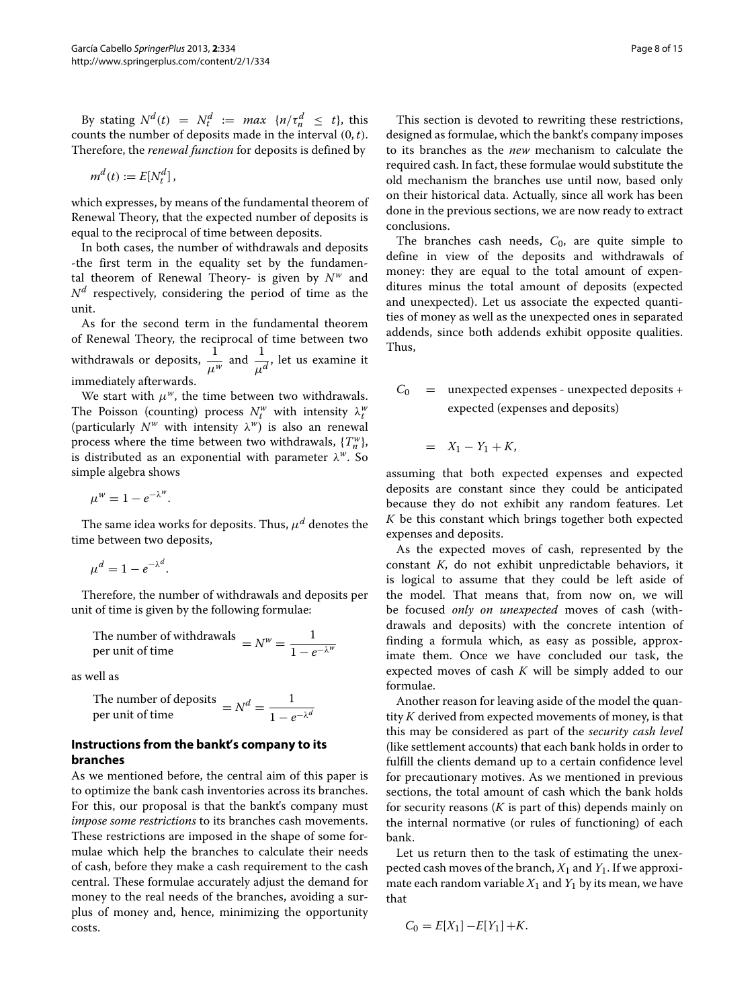By stating  $N^d(t) = N^d_t := max \{ n / \tau^d_n \leq t \}$ , this counts the number of deposits made in the interval *(*0, *t)*. Therefore, the *renewal function* for deposits is defined by

$$
m^d(t) := E[N_t^d],
$$

which expresses, by means of the fundamental theorem of Renewal Theory, that the expected number of deposits is equal to the reciprocal of time between deposits.

In both cases, the number of withdrawals and deposits -the first term in the equality set by the fundamental theorem of Renewal Theory- is given by  $N^w$  and  $N<sup>d</sup>$  respectively, considering the period of time as the unit.

As for the second term in the fundamental theorem of Renewal Theory, the reciprocal of time between two withdrawals or deposits,  $\frac{1}{\mu^w}$  and  $\frac{1}{\mu^d}$ , let us examine it immediately afterwards.

We start with  $\mu^w$ , the time between two withdrawals. The Poisson (counting) process  $N_t^w$  with intensity  $\lambda_t^w$ (particularly  $N^w$  with intensity  $\lambda^w$ ) is also an renewal process where the time between two withdrawals,  $\{T_n^w\}$ , is distributed as an exponential with parameter *λw*. So simple algebra shows

$$
\mu^w=1-e^{-\lambda^w}.
$$

The same idea works for deposits. Thus, *μ<sup>d</sup>* denotes the time between two deposits,

$$
\mu^d = 1 - e^{-\lambda^d}.
$$

Therefore, the number of withdrawals and deposits per unit of time is given by the following formulae:

The number of withdrawals  $N^w = \frac{1}{1 - e^{-\lambda^w}}$ 

as well as

The number of deposits  
per unit of time 
$$
N^d = \frac{1}{1 - e^{-\lambda^d}}
$$

## **Instructions from the bankt's company to its branches**

<span id="page-7-0"></span>As we mentioned before, the central aim of this paper is to optimize the bank cash inventories across its branches. For this, our proposal is that the bankt's company must *impose some restrictions* to its branches cash movements. These restrictions are imposed in the shape of some formulae which help the branches to calculate their needs of cash, before they make a cash requirement to the cash central. These formulae accurately adjust the demand for money to the real needs of the branches, avoiding a surplus of money and, hence, minimizing the opportunity costs.

This section is devoted to rewriting these restrictions, designed as formulae, which the bankt's company imposes to its branches as the *new* mechanism to calculate the required cash. In fact, these formulae would substitute the old mechanism the branches use until now, based only on their historical data. Actually, since all work has been done in the previous sections, we are now ready to extract conclusions.

The branches cash needs,  $C_0$ , are quite simple to define in view of the deposits and withdrawals of money: they are equal to the total amount of expenditures minus the total amount of deposits (expected and unexpected). Let us associate the expected quantities of money as well as the unexpected ones in separated addends, since both addends exhibit opposite qualities. Thus,

# $C_0$  = unexpected expenses - unexpected deposits + expected (expenses and deposits)

$$
= X_1 - Y_1 + K,
$$

assuming that both expected expenses and expected deposits are constant since they could be anticipated because they do not exhibit any random features. Let *K* be this constant which brings together both expected expenses and deposits.

As the expected moves of cash, represented by the constant *K*, do not exhibit unpredictable behaviors, it is logical to assume that they could be left aside of the model. That means that, from now on, we will be focused *only on unexpected* moves of cash (withdrawals and deposits) with the concrete intention of finding a formula which, as easy as possible, approximate them. Once we have concluded our task, the expected moves of cash *K* will be simply added to our formulae.

Another reason for leaving aside of the model the quantity *K* derived from expected movements of money, is that this may be considered as part of the *security cash level* (like settlement accounts) that each bank holds in order to fulfill the clients demand up to a certain confidence level for precautionary motives. As we mentioned in previous sections, the total amount of cash which the bank holds for security reasons (*K* is part of this) depends mainly on the internal normative (or rules of functioning) of each bank.

Let us return then to the task of estimating the unexpected cash moves of the branch, *X*<sup>1</sup> and *Y*1. If we approximate each random variable  $X_1$  and  $Y_1$  by its mean, we have that

$$
C_0 = E[X_1] - E[Y_1] + K.
$$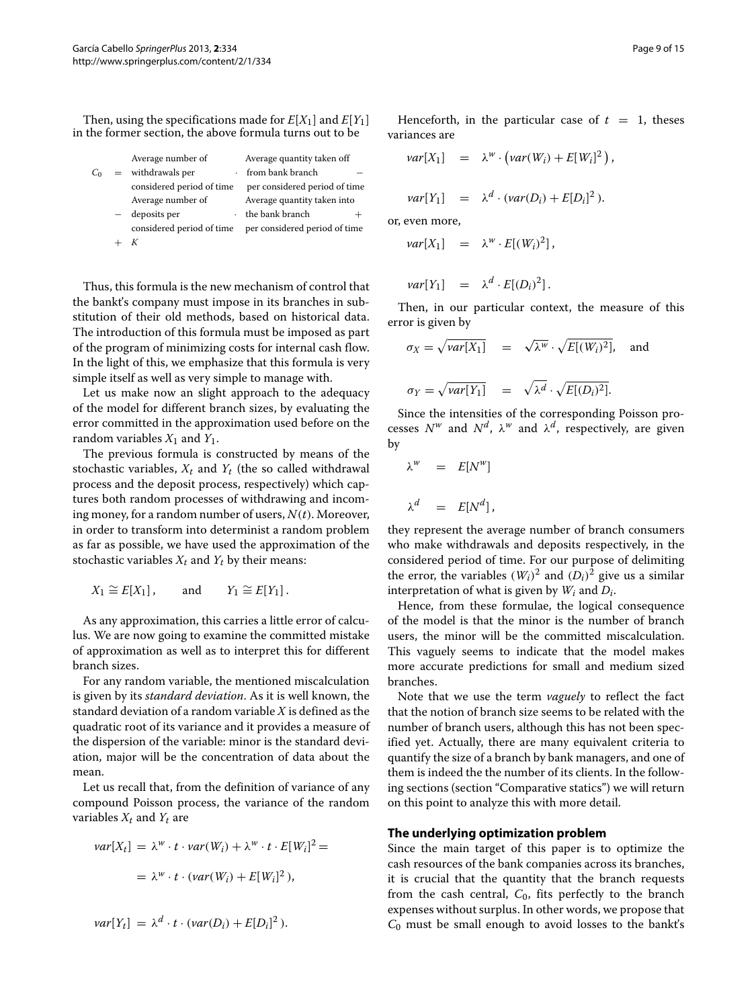Then, using the specifications made for  $E[X_1]$  and  $E[Y_1]$ in the former section, the above formula turns out to be

| Average quantity taken off    |
|-------------------------------|
|                               |
| per considered period of time |
| Average quantity taken into   |
|                               |
| per considered period of time |
|                               |
|                               |

Thus, this formula is the new mechanism of control that the bankt's company must impose in its branches in substitution of their old methods, based on historical data. The introduction of this formula must be imposed as part of the program of minimizing costs for internal cash flow. In the light of this, we emphasize that this formula is very simple itself as well as very simple to manage with.

Let us make now an slight approach to the adequacy of the model for different branch sizes, by evaluating the error committed in the approximation used before on the random variables  $X_1$  and  $Y_1$ .

The previous formula is constructed by means of the stochastic variables,  $X_t$  and  $Y_t$  (the so called withdrawal process and the deposit process, respectively) which captures both random processes of withdrawing and incoming money, for a random number of users, *N(t)*. Moreover, in order to transform into determinist a random problem as far as possible, we have used the approximation of the stochastic variables  $X_t$  and  $Y_t$  by their means:

$$
X_1 \cong E[X_1],
$$
 and  $Y_1 \cong E[Y_1].$ 

As any approximation, this carries a little error of calculus. We are now going to examine the committed mistake of approximation as well as to interpret this for different branch sizes.

For any random variable, the mentioned miscalculation is given by its *standard deviation*. As it is well known, the standard deviation of a random variable *X* is defined as the quadratic root of its variance and it provides a measure of the dispersion of the variable: minor is the standard deviation, major will be the concentration of data about the mean.

Let us recall that, from the definition of variance of any compound Poisson process, the variance of the random variables  $X_t$  and  $Y_t$  are

$$
var[X_t] = \lambda^w \cdot t \cdot var(W_i) + \lambda^w \cdot t \cdot E[W_i]^2 =
$$
  
= 
$$
\lambda^w \cdot t \cdot (var(W_i) + E[W_i]^2),
$$

$$
var[Y_t] = \lambda^d \cdot t \cdot (var(D_i) + E[D_i]^2).
$$

Henceforth, in the particular case of  $t = 1$ , theses variances are

$$
var[X_1] = \lambda^w \cdot (var(W_i) + E[W_i]^2),
$$

$$
var[Y_1] = \lambda^d \cdot (var(D_i) + E[D_i]^2).
$$

or, even more,

$$
var[X_1] = \lambda^w \cdot E[(W_i)^2],
$$

$$
var[Y_1] = \lambda^d \cdot E[(D_i)^2].
$$

Then, in our particular context, the measure of this error is given by

$$
\sigma_X = \sqrt{var[X_1]}
$$
 =  $\sqrt{\lambda^w} \cdot \sqrt{E[(W_i)^2]}$ , and  
 $\sigma_Y = \sqrt{var[Y_1]}$  =  $\sqrt{\lambda^d} \cdot \sqrt{E[(D_i)^2]}$ .

Since the intensities of the corresponding Poisson processes  $N^w$  and  $N^d$ ,  $\lambda^w$  and  $\lambda^d$ , respectively, are given by

$$
\lambda^{w} = E[N^{w}]
$$
  

$$
\lambda^{d} = E[N^{d}],
$$

they represent the average number of branch consumers who make withdrawals and deposits respectively, in the considered period of time. For our purpose of delimiting the error, the variables  $(W_i)^2$  and  $(D_i)^2$  give us a similar interpretation of what is given by *Wi* and *Di*.

Hence, from these formulae, the logical consequence of the model is that the minor is the number of branch users, the minor will be the committed miscalculation. This vaguely seems to indicate that the model makes more accurate predictions for small and medium sized branches.

Note that we use the term *vaguely* to reflect the fact that the notion of branch size seems to be related with the number of branch users, although this has not been specified yet. Actually, there are many equivalent criteria to quantify the size of a branch by bank managers, and one of them is indeed the the number of its clients. In the following sections (section ["Comparative statics"](#page-10-0)) we will return on this point to analyze this with more detail.

#### <span id="page-8-0"></span>**The underlying optimization problem**

Since the main target of this paper is to optimize the cash resources of the bank companies across its branches, it is crucial that the quantity that the branch requests from the cash central,  $C_0$ , fits perfectly to the branch expenses without surplus. In other words, we propose that  $C_0$  must be small enough to avoid losses to the bankt's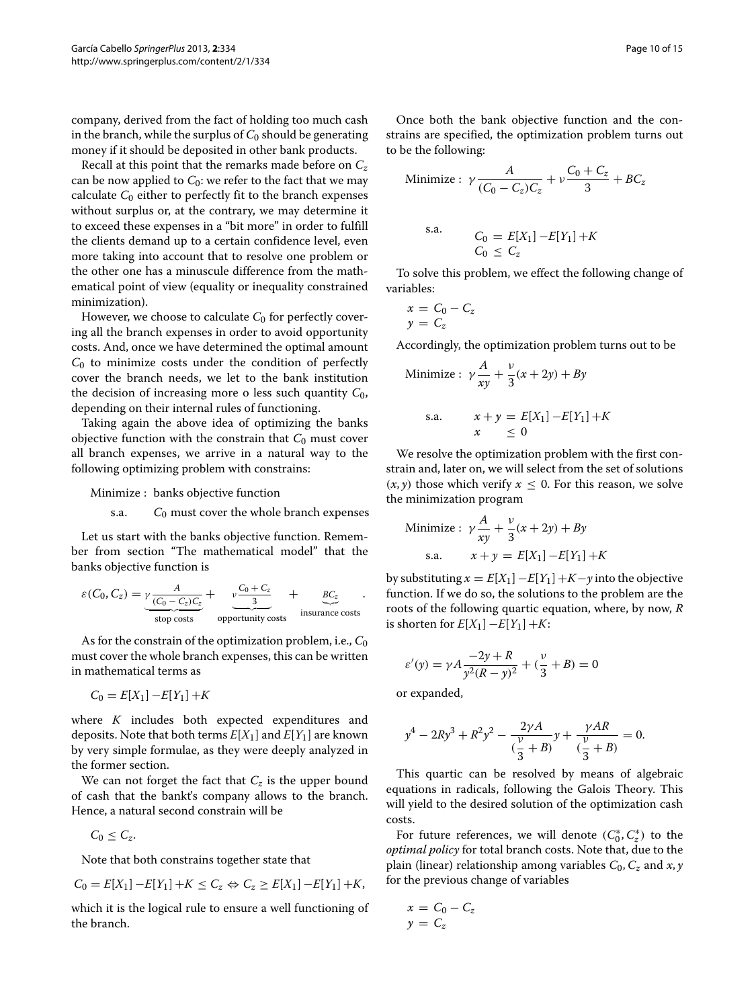company, derived from the fact of holding too much cash in the branch, while the surplus of  $C_0$  should be generating money if it should be deposited in other bank products.

Recall at this point that the remarks made before on *Cz* can be now applied to  $C_0$ : we refer to the fact that we may calculate  $C_0$  either to perfectly fit to the branch expenses without surplus or, at the contrary, we may determine it to exceed these expenses in a "bit more" in order to fulfill the clients demand up to a certain confidence level, even more taking into account that to resolve one problem or the other one has a minuscule difference from the mathematical point of view (equality or inequality constrained minimization).

However, we choose to calculate  $C_0$  for perfectly covering all the branch expenses in order to avoid opportunity costs. And, once we have determined the optimal amount  $C_0$  to minimize costs under the condition of perfectly cover the branch needs, we let to the bank institution the decision of increasing more o less such quantity  $C_0$ , depending on their internal rules of functioning.

Taking again the above idea of optimizing the banks objective function with the constrain that  $C_0$  must cover all branch expenses, we arrive in a natural way to the following optimizing problem with constrains:

Minimize : banks objective function

s.a. *C*<sup>0</sup> must cover the whole branch expenses

Let us start with the banks objective function. Remember from section ["The mathematical model"](#page-2-1) that the banks objective function is

$$
\varepsilon(C_0, C_z) = \underbrace{\gamma \frac{A}{(C_0 - C_z)C_z}}_{\text{stop costs}} + \underbrace{\nu \frac{C_0 + C_z}{3}}_{\text{opportunity costs}} + \underbrace{BC_z}_{\text{insurance costs}}.
$$

As for the constrain of the optimization problem, i.e., *C*<sup>0</sup> must cover the whole branch expenses, this can be written in mathematical terms as

$$
C_0 = E[X_1] - E[Y_1] + K
$$

where *K* includes both expected expenditures and deposits. Note that both terms  $E[X_1]$  and  $E[Y_1]$  are known by very simple formulae, as they were deeply analyzed in the former section.

We can not forget the fact that *Cz* is the upper bound of cash that the bankt's company allows to the branch. Hence, a natural second constrain will be

$$
C_0\leq C_z.
$$

Note that both constrains together state that

$$
C_0 = E[X_1] - E[Y_1] + K \le C_z \Leftrightarrow C_z \ge E[X_1] - E[Y_1] + K,
$$

which it is the logical rule to ensure a well functioning of the branch.

Once both the bank objective function and the constrains are specified, the optimization problem turns out to be the following:

Minimize: 
$$
\gamma \frac{A}{(C_0 - C_z)C_z} + \nu \frac{C_0 + C_z}{3} + BC_z
$$
  
s.a.  $C = F[X] - F[X] + K$ 

$$
\begin{aligned} \text{s.a.} \qquad & C_0 = E[X_1] - E[Y_1] + K \\ & C_0 \le C_z \end{aligned}
$$

To solve this problem, we effect the following change of variables:

$$
\begin{array}{l}\nx = C_0 - C_z \\
y = C_z\n\end{array}
$$

Accordingly, the optimization problem turns out to be

Minimize: 
$$
\gamma \frac{A}{xy} + \frac{v}{3}(x+2y) + By
$$

s.a. 
$$
x + y = E[X_1] - E[Y_1] + K
$$
  
 $x \le 0$ 

We resolve the optimization problem with the first constrain and, later on, we will select from the set of solutions *(* $*x*, *y*$ *) those which verify*  $*x* ≤ 0$ *. For this reason, we solve* the minimization program

Minimize: 
$$
\gamma \frac{A}{xy} + \frac{\nu}{3}(x+2y) + By
$$
  
s.a.  $x + y = E[X_1] - E[Y_1] + K$ 

by substituting  $x = E[X_1] - E[Y_1] + K - y$  into the objective function. If we do so, the solutions to the problem are the roots of the following quartic equation, where, by now, *R* is shorten for  $E[X_1] - E[Y_1] + K$ :

$$
\varepsilon'(y) = \gamma A \frac{-2y + R}{y^2 (R - y)^2} + (\frac{v}{3} + B) = 0
$$

or expanded,

$$
y^{4} - 2Ry^{3} + R^{2}y^{2} - \frac{2\gamma A}{(\frac{\nu}{3} + B)}y + \frac{\gamma AR}{(\frac{\nu}{3} + B)} = 0.
$$

This quartic can be resolved by means of algebraic equations in radicals, following the Galois Theory. This will yield to the desired solution of the optimization cash costs.

For future references, we will denote  $(C_0^*, C_z^*)$  to the *optimal policy* for total branch costs. Note that, due to the plain (linear) relationship among variables  $C_0$ ,  $C_z$  and  $x$ ,  $y$ for the previous change of variables

$$
\begin{array}{l}\nx = C_0 - C_z \\
y = C_z\n\end{array}
$$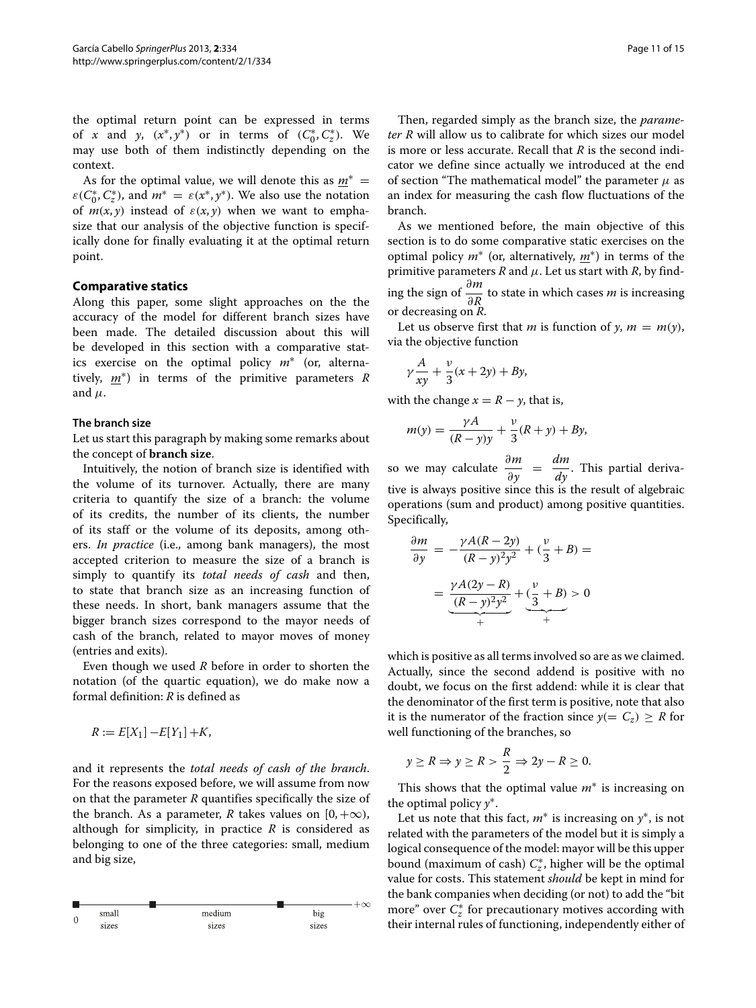the optimal return point can be expressed in terms of *x* and *y*,  $(x^*, y^*)$  or in terms of  $(C_0^*, C_z^*)$ . We may use both of them indistinctly depending on the context.

As for the optimal value, we will denote this as  $m^* =$ *ε*( $C_0^*$ ,  $C_z^*$ ), and  $m^* = \varepsilon(x^*, y^*)$ . We also use the notation of  $m(x, y)$  instead of  $\varepsilon(x, y)$  when we want to emphasize that our analysis of the objective function is specifically done for finally evaluating it at the optimal return point.

### <span id="page-10-0"></span>**Comparative statics**

<span id="page-10-1"></span>Along this paper, some slight approaches on the the accuracy of the model for different branch sizes have been made. The detailed discussion about this will be developed in this section with a comparative statics exercise on the optimal policy *m*∗ (or, alternatively, *m*∗) in terms of the primitive parameters *R* and *μ*.

#### **The branch size**

Let us start this paragraph by making some remarks about the concept of **branch size**.

Intuitively, the notion of branch size is identified with the volume of its turnover. Actually, there are many criteria to quantify the size of a branch: the volume of its credits, the number of its clients, the number of its staff or the volume of its deposits, among others. *In practice* (i.e., among bank managers), the most accepted criterion to measure the size of a branch is simply to quantify its *total needs of cash* and then, to state that branch size as an increasing function of these needs. In short, bank managers assume that the bigger branch sizes correspond to the mayor needs of cash of the branch, related to mayor moves of money (entries and exits).

Even though we used *R* before in order to shorten the notation (of the quartic equation), we do make now a formal definition: *R* is defined as

$$
R := E[X_1] - E[Y_1] + K,
$$

and it represents the *total needs of cash of the branch*. For the reasons exposed before, we will assume from now on that the parameter *R* quantifies specifically the size of the branch. As a parameter, *R* takes values on  $[0, +\infty)$ , although for simplicity, in practice *R* is considered as belonging to one of the three categories: small, medium and big size,



Then, regarded simply as the branch size, the *parameter R* will allow us to calibrate for which sizes our model is more or less accurate. Recall that *R* is the second indicator we define since actually we introduced at the end of section ["The mathematical model"](#page-2-1) the parameter  $\mu$  as an index for measuring the cash flow fluctuations of the branch.

As we mentioned before, the main objective of this section is to do some comparative static exercises on the optimal policy *m*∗ (or, alternatively, *m*∗) in terms of the primitive parameters *R* and  $\mu$ . Let us start with *R*, by finding the sign of *<sup>∂</sup><sup>m</sup> ∂R* to state in which cases *m* is increasing or decreasing on *R*.

Let us observe first that *m* is function of *y*,  $m = m(y)$ , via the objective function

$$
\gamma \frac{A}{xy} + \frac{v}{3}(x+2y) + By,
$$

with the change  $x = R - y$ , that is,

$$
m(y) = \frac{\gamma A}{(R-y)y} + \frac{\nu}{3}(R+y) + By,
$$

so we may calculate  $\frac{\partial m}{\partial y} = \frac{dm}{dy}$ . This partial derivative is always positive since this is the result of algebraic operations (sum and product) among positive quantities. Specifically,

$$
\frac{\partial m}{\partial y} = -\frac{\gamma A(R - 2y)}{(R - y)^2 y^2} + (\frac{v}{3} + B) =
$$

$$
= \underbrace{\frac{\gamma A(2y - R)}{(R - y)^2 y^2}}_{+} + \underbrace{(\frac{v}{3} + B)}_{+} > 0
$$

which is positive as all terms involved so are as we claimed. Actually, since the second addend is positive with no doubt, we focus on the first addend: while it is clear that the denominator of the first term is positive, note that also it is the numerator of the fraction since  $\gamma (= C_z) > R$  for well functioning of the branches, so

$$
y \ge R \Rightarrow y \ge R > \frac{R}{2} \Rightarrow 2y - R \ge 0.
$$

This shows that the optimal value *m*∗ is increasing on the optimal policy *y*∗.

Let us note that this fact,  $m^*$  is increasing on  $y^*$ , is not related with the parameters of the model but it is simply a logical consequence of the model: mayor will be this upper bound (maximum of cash) *C*∗ *<sup>z</sup>* , higher will be the optimal value for costs. This statement *should* be kept in mind for the bank companies when deciding (or not) to add the "bit more" over *C*∗ *<sup>z</sup>* for precautionary motives according with their internal rules of functioning, independently either of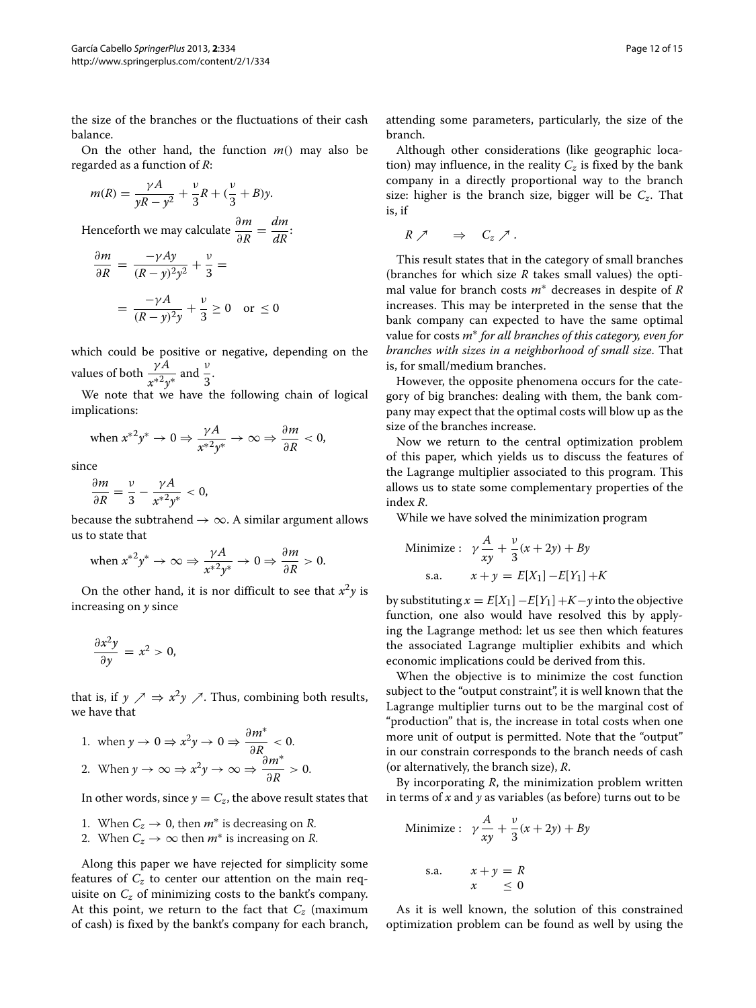the size of the branches or the fluctuations of their cash balance.

On the other hand, the function *m()* may also be regarded as a function of *R*:

$$
m(R) = \frac{\gamma A}{yR - y^2} + \frac{\nu}{3}R + (\frac{\nu}{3} + B)y.
$$
  
Henceforth we may calculate  $\frac{\partial m}{\partial R} = \frac{dm}{dR}$ :  

$$
\frac{\partial m}{\partial R} = \frac{-\gamma Ay}{(R - y)^2 y^2} + \frac{\nu}{3} =
$$

$$
= \frac{-\gamma A}{(R - y)^2 y} + \frac{\nu}{3} \ge 0 \text{ or } \le 0
$$

which could be positive or negative, depending on the values of both  $\frac{\gamma A}{x^*{}^2 y^*}$  and  $\frac{\nu}{3}$ .

We note that we have the following chain of logical implications:

when 
$$
x^{*2}y^* \to 0 \Rightarrow \frac{\gamma A}{x^{*2}y^*} \to \infty \Rightarrow \frac{\partial m}{\partial R} < 0
$$
,

since

 $\frac{\partial m}{\partial R} = \frac{v}{3} - \frac{\gamma A}{x^{*2}y^{*}} < 0,$ 

because the subtrahend  $\rightarrow \infty$ . A similar argument allows us to state that

when 
$$
x^{*2}y^* \to \infty \Rightarrow \frac{\gamma A}{x^{*2}y^*} \to 0 \Rightarrow \frac{\partial m}{\partial R} > 0.
$$

On the other hand, it is nor difficult to see that  $x^2y$  is increasing on *y* since

$$
\frac{\partial x^2 y}{\partial y} = x^2 > 0,
$$

that is, if  $y \nearrow \Rightarrow x^2y \nearrow$ . Thus, combining both results, we have that

1. when 
$$
y \to 0 \Rightarrow x^2y \to 0 \Rightarrow \frac{\partial m^*}{\partial R} < 0
$$
.  
2. When  $y \to \infty \Rightarrow x^2y \to \infty \Rightarrow \frac{\partial m^*}{\partial R} > 0$ .

In other words, since  $y = C_z$ , the above result states that

- 1. When  $C_z \rightarrow 0$ , then  $m^*$  is decreasing on R.
- 2. When  $C_z \rightarrow \infty$  then  $m^*$  is increasing on R.

Along this paper we have rejected for simplicity some features of  $C_z$  to center our attention on the main requisite on  $C_z$  of minimizing costs to the bankt's company. At this point, we return to the fact that *Cz* (maximum of cash) is fixed by the bankt's company for each branch, attending some parameters, particularly, the size of the branch.

Although other considerations (like geographic location) may influence, in the reality  $C_z$  is fixed by the bank company in a directly proportional way to the branch size: higher is the branch size, bigger will be *Cz*. That is, if

$$
R \nearrow \qquad \Rightarrow \quad C_z \nearrow.
$$

This result states that in the category of small branches (branches for which size *R* takes small values) the optimal value for branch costs *m*∗ decreases in despite of *R* increases. This may be interpreted in the sense that the bank company can expected to have the same optimal value for costs *m*∗ *for all branches of this category, even for branches with sizes in a neighborhood of small size*. That is, for small/medium branches.

However, the opposite phenomena occurs for the category of big branches: dealing with them, the bank company may expect that the optimal costs will blow up as the size of the branches increase.

Now we return to the central optimization problem of this paper, which yields us to discuss the features of the Lagrange multiplier associated to this program. This allows us to state some complementary properties of the index *R*.

While we have solved the minimization program

Minimize: 
$$
\gamma \frac{A}{xy} + \frac{v}{3}(x+2y) + By
$$
  
s.a.  $x + y = E[X_1] - E[Y_1] + K$ 

by substituting  $x = E[X_1] - E[Y_1] + K - y$  into the objective function, one also would have resolved this by applying the Lagrange method: let us see then which features the associated Lagrange multiplier exhibits and which economic implications could be derived from this.

When the objective is to minimize the cost function subject to the "output constraint", it is well known that the Lagrange multiplier turns out to be the marginal cost of "production" that is, the increase in total costs when one more unit of output is permitted. Note that the "output" in our constrain corresponds to the branch needs of cash (or alternatively, the branch size), *R*.

By incorporating *R*, the minimization problem written in terms of *x* and *y* as variables (as before) turns out to be

Minimize: 
$$
\gamma \frac{A}{xy} + \frac{v}{3}(x+2y) + By
$$
  
s.a.  $x + y = R$   
 $x \le 0$ 

As it is well known, the solution of this constrained optimization problem can be found as well by using the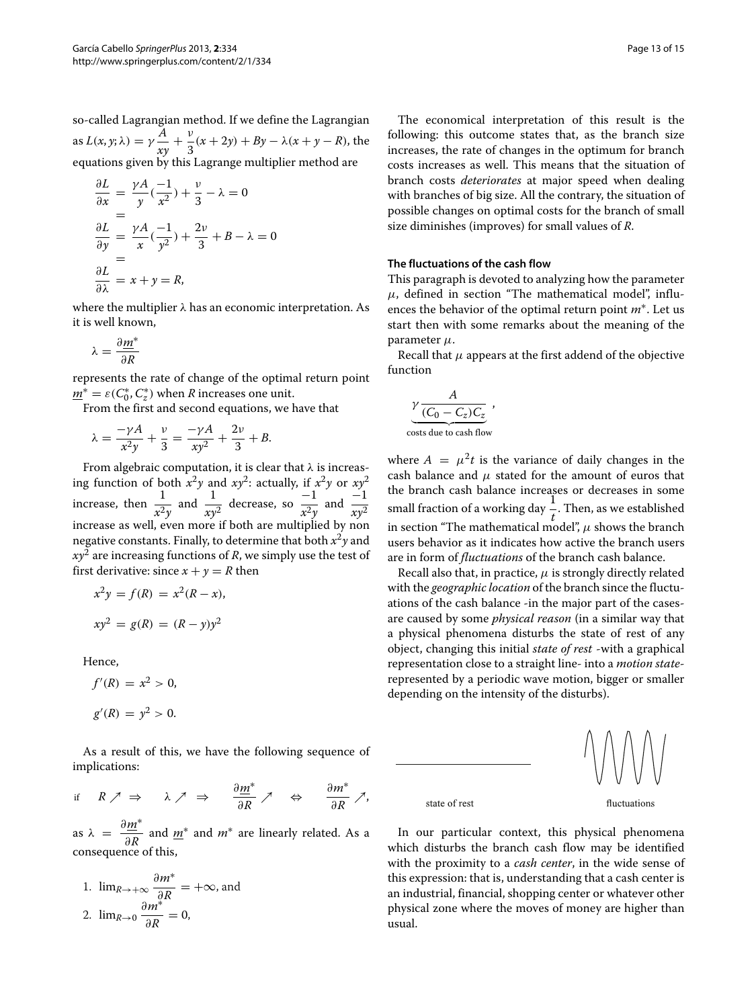so-called Lagrangian method. If we define the Lagrangian as  $L(x, y; \lambda) = \gamma \frac{A}{m}$  $\frac{A}{xy} + \frac{v}{3}(x+2y) + By - \lambda(x+y-R)$ , the equations given by this Lagrange multiplier method are

$$
\frac{\partial L}{\partial x} = \frac{\gamma A}{y} \left(\frac{-1}{x^2}\right) + \frac{\nu}{3} - \lambda = 0
$$
  
= 
$$
\frac{\partial L}{\partial y} = \frac{\gamma A}{x} \left(\frac{-1}{y^2}\right) + \frac{2\nu}{3} + B - \lambda = 0
$$
  
= 
$$
\frac{\partial L}{\partial \lambda} = x + y = R,
$$

where the multiplier *λ* has an economic interpretation. As it is well known,

$$
\lambda = \frac{\partial \underline{m}^*}{\partial R}
$$

represents the rate of change of the optimal return point  $\underline{m}^* = \varepsilon(C_0^*, C_z^*)$  when *R* increases one unit.

From the first and second equations, we have that

$$
\lambda = \frac{-\gamma A}{x^2 y} + \frac{v}{3} = \frac{-\gamma A}{x y^2} + \frac{2v}{3} + B.
$$

From algebraic computation, it is clear that *λ* is increasing function of both  $x^2y$  and  $xy^2$ : actually, if  $x^2y$  or  $xy^2$ increase, then  $\frac{1}{x^2y}$  and  $\frac{1}{xy^2}$  decrease, so  $\frac{-1}{x^2y}$  and  $\frac{-1}{xy^2}$ increase as well, even more if both are multiplied by non negative constants. Finally, to determine that both  $x^2y$  and  $xy^2$  are increasing functions of *R*, we simply use the test of first derivative: since  $x + y = R$  then

$$
x2y = f(R) = x2(R - x),
$$
  

$$
xy2 = g(R) = (R - y)y2
$$

Hence,

$$
f'(R) = x^2 > 0,
$$
  

$$
g'(R) = y^2 > 0.
$$

As a result of this, we have the following sequence of implications:

if  $R \nearrow \Rightarrow \lambda \nearrow \Rightarrow \frac{\partial m^*}{\partial R}$ *<sup>∂</sup><sup>R</sup>* <sup>⇔</sup> *∂m*∗ *<sup>∂</sup><sup>R</sup>* ,

as  $\lambda = \frac{\partial \underline{m}^*}{\partial R}$  and  $\underline{m}^*$  and  $m^*$  are linearly related. As a consequence of this,

1. 
$$
\lim_{R \to +\infty} \frac{\partial m^*}{\partial R} = +\infty
$$
, and  
\n2.  $\lim_{R \to 0} \frac{\partial m^*}{\partial R} = 0$ ,

The economical interpretation of this result is the following: this outcome states that, as the branch size increases, the rate of changes in the optimum for branch costs increases as well. This means that the situation of branch costs *deteriorates* at major speed when dealing with branches of big size. All the contrary, the situation of possible changes on optimal costs for the branch of small size diminishes (improves) for small values of *R*.

### **The fluctuations of the cash flow**

This paragraph is devoted to analyzing how the parameter  $\mu$ , defined in section ["The mathematical model"](#page-2-1), influences the behavior of the optimal return point *m*∗. Let us start then with some remarks about the meaning of the parameter *μ*.

Recall that  $\mu$  appears at the first addend of the objective function

$$
\frac{\gamma \frac{A}{(C_0 - C_z)C_z}}{\text{costs due to cash flow}},
$$

where  $A = \mu^2 t$  is the variance of daily changes in the cash balance and  $\mu$  stated for the amount of euros that the branch cash balance increases or decreases in some small fraction of a working day  $\frac{1}{t}$ . Then, as we established in section ["The mathematical model"](#page-2-1), *μ* shows the branch users behavior as it indicates how active the branch users are in form of *fluctuations* of the branch cash balance.

Recall also that, in practice,  $\mu$  is strongly directly related with the *geographic location* of the branch since the fluctuations of the cash balance -in the major part of the casesare caused by some *physical reason* (in a similar way that a physical phenomena disturbs the state of rest of any object, changing this initial *state of rest* -with a graphical representation close to a straight line- into a *motion state*represented by a periodic wave motion, bigger or smaller depending on the intensity of the disturbs).



In our particular context, this physical phenomena which disturbs the branch cash flow may be identified with the proximity to a *cash center*, in the wide sense of this expression: that is, understanding that a cash center is an industrial, financial, shopping center or whatever other physical zone where the moves of money are higher than usual.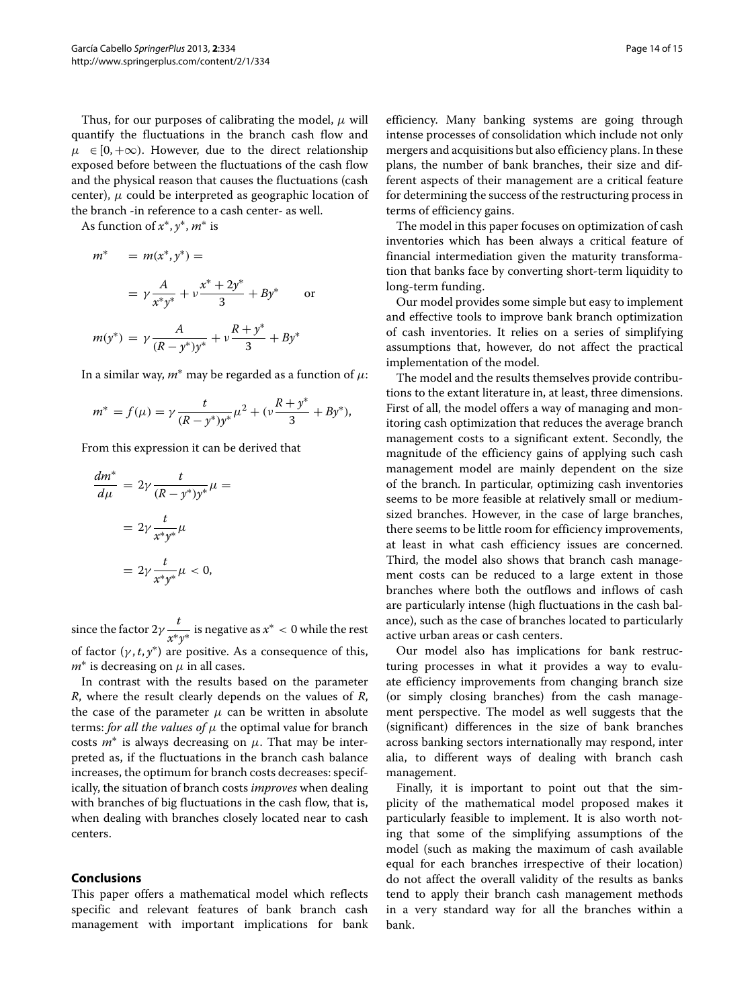Thus, for our purposes of calibrating the model, *μ* will quantify the fluctuations in the branch cash flow and  $\mu \in [0, +\infty)$ . However, due to the direct relationship exposed before between the fluctuations of the cash flow and the physical reason that causes the fluctuations (cash center), *μ* could be interpreted as geographic location of the branch -in reference to a cash center- as well.

As function of *x*∗, *y*∗, *m*∗ is

$$
m^* = m(x^*, y^*) =
$$
  
=  $\gamma \frac{A}{x^*y^*} + \gamma \frac{x^* + 2y^*}{3} + By^*$  or  

$$
m(y^*) = \gamma \frac{A}{(R - y^*)y^*} + \gamma \frac{B + y^*}{3} + By^*
$$

In a similar way,  $m^*$  may be regarded as a function of  $\mu$ :

$$
m^* = f(\mu) = \gamma \frac{t}{(R - y^*)y^*} \mu^2 + (\nu \frac{R + y^*}{3} + By^*),
$$

From this expression it can be derived that

$$
\frac{dm^*}{d\mu} = 2\gamma \frac{t}{(R - y^*)y^*} \mu =
$$

$$
= 2\gamma \frac{t}{x^*y^*} \mu
$$

$$
= 2\gamma \frac{t}{x^*y^*} \mu < 0,
$$

since the factor  $2\gamma \frac{t}{x^*y^*}$  is negative as  $x^* < 0$  while the rest of factor  $(\gamma, t, \gamma^*)$  are positive. As a consequence of this,  $m^*$  is decreasing on  $\mu$  in all cases.

In contrast with the results based on the parameter *R*, where the result clearly depends on the values of *R*, the case of the parameter  $\mu$  can be written in absolute terms: *for all the values of*  $\mu$  the optimal value for branch costs  $m^*$  is always decreasing on  $\mu$ . That may be interpreted as, if the fluctuations in the branch cash balance increases, the optimum for branch costs decreases: specifically, the situation of branch costs *improves* when dealing with branches of big fluctuations in the cash flow, that is, when dealing with branches closely located near to cash centers.

#### <span id="page-13-0"></span>**Conclusions**

This paper offers a mathematical model which reflects specific and relevant features of bank branch cash management with important implications for bank efficiency. Many banking systems are going through intense processes of consolidation which include not only mergers and acquisitions but also efficiency plans. In these plans, the number of bank branches, their size and different aspects of their management are a critical feature for determining the success of the restructuring process in terms of efficiency gains.

The model in this paper focuses on optimization of cash inventories which has been always a critical feature of financial intermediation given the maturity transformation that banks face by converting short-term liquidity to long-term funding.

Our model provides some simple but easy to implement and effective tools to improve bank branch optimization of cash inventories. It relies on a series of simplifying assumptions that, however, do not affect the practical implementation of the model.

The model and the results themselves provide contributions to the extant literature in, at least, three dimensions. First of all, the model offers a way of managing and monitoring cash optimization that reduces the average branch management costs to a significant extent. Secondly, the magnitude of the efficiency gains of applying such cash management model are mainly dependent on the size of the branch. In particular, optimizing cash inventories seems to be more feasible at relatively small or mediumsized branches. However, in the case of large branches, there seems to be little room for efficiency improvements, at least in what cash efficiency issues are concerned. Third, the model also shows that branch cash management costs can be reduced to a large extent in those branches where both the outflows and inflows of cash are particularly intense (high fluctuations in the cash balance), such as the case of branches located to particularly active urban areas or cash centers.

Our model also has implications for bank restructuring processes in what it provides a way to evaluate efficiency improvements from changing branch size (or simply closing branches) from the cash management perspective. The model as well suggests that the (significant) differences in the size of bank branches across banking sectors internationally may respond, inter alia, to different ways of dealing with branch cash management.

Finally, it is important to point out that the simplicity of the mathematical model proposed makes it particularly feasible to implement. It is also worth noting that some of the simplifying assumptions of the model (such as making the maximum of cash available equal for each branches irrespective of their location) do not affect the overall validity of the results as banks tend to apply their branch cash management methods in a very standard way for all the branches within a bank.